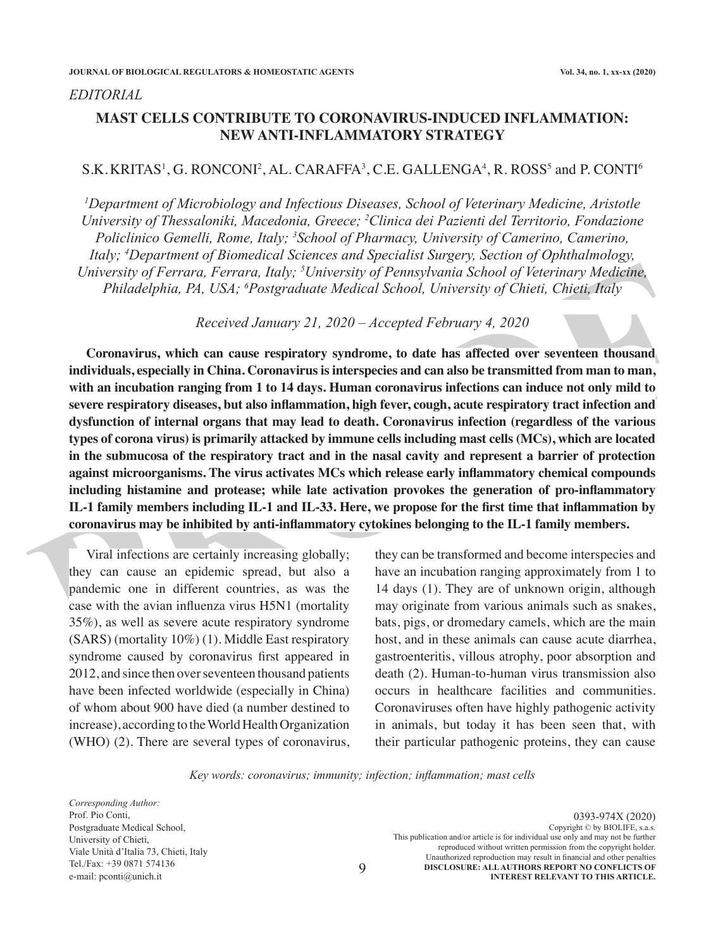#### *EDITORIAL*

# **MAST CELLS CONTRIBUTE TO CORONAVIRUS-INDUCED INFLAMMATION: NEW ANTI-INFLAMMATORY STRATEGY**

### $\rm S.K. KRTIAS^1, G. RONCONI^2, AL. CARAFFA^3, C.E. GALLENGA^4, R. ROSS^5$  and  $P. \rm{CONTI}^6$

*1 Department of Microbiology and Infectious Diseases, School of Veterinary Medicine, Aristotle University of Thessaloniki, Macedonia, Greece; <sup>2</sup> Clinica dei Pazienti del Territorio, Fondazione Policlinico Gemelli, Rome, Italy; <sup>3</sup> School of Pharmacy, University of Camerino, Camerino, Italy; <sup>4</sup> Department of Biomedical Sciences and Specialist Surgery, Section of Ophthalmology, University of Ferrara, Ferrara, Italy; <sup>5</sup> University of Pennsylvania School of Veterinary Medicine, Philadelphia, PA, USA; <sup>6</sup> Postgraduate Medical School, University of Chieti, Chieti, Italy*

*Received January 21, 2020 – Accepted February 4, 2020*

University of Ferrara, Ferrara, Italy; <sup>3</sup>University of Pennsylvania School of Veterinary Medicine,<br>
Philadelphia, PA, USA; <sup>6</sup>Postgraduate Medical School, University of Chieti, Chieti, Italy<br>
Received January 21, 2020 – A **Coronavirus, which can cause respiratory syndrome, to date has affected over seventeen thousand individuals, especially in China. Coronavirus is interspecies and can also be transmitted from man to man, with an incubation ranging from 1 to 14 days. Human coronavirus infections can induce not only mild to severe respiratory diseases, but also inflammation, high fever, cough, acute respiratory tract infection and dysfunction of internal organs that may lead to death. Coronavirus infection (regardless of the various types of corona virus) is primarily attacked by immune cells including mast cells (MCs), which are located in the submucosa of the respiratory tract and in the nasal cavity and represent a barrier of protection against microorganisms. The virus activates MCs which release early inflammatory chemical compounds including histamine and protease; while late activation provokes the generation of pro-inflammatory IL-1 family members including IL-1 and IL-33. Here, we propose for the first time that inflammation by coronavirus may be inhibited by anti-inflammatory cytokines belonging to the IL-1 family members.** 

Viral infections are certainly increasing globally; they can cause an epidemic spread, but also a pandemic one in different countries, as was the case with the avian influenza virus H5N1 (mortality 35%), as well as severe acute respiratory syndrome (SARS) (mortality 10%) (1). Middle East respiratory syndrome caused by coronavirus first appeared in 2012, and since then over seventeen thousand patients have been infected worldwide (especially in China) of whom about 900 have died (a number destined to increase), according to the World Health Organization (WHO) (2). There are several types of coronavirus, they can be transformed and become interspecies and have an incubation ranging approximately from 1 to 14 days (1). They are of unknown origin, although may originate from various animals such as snakes, bats, pigs, or dromedary camels, which are the main host, and in these animals can cause acute diarrhea, gastroenteritis, villous atrophy, poor absorption and death (2). Human-to-human virus transmission also occurs in healthcare facilities and communities. Coronaviruses often have highly pathogenic activity in animals, but today it has been seen that, with their particular pathogenic proteins, they can cause

*Key words: coronavirus; immunity; infection; inflammation; mast cells*

9

*Corresponding Author:* Prof. Pio Conti, Postgraduate Medical School, University of Chieti, Viale Unità d'Italia 73, Chieti, Italy Tel./Fax: +39 0871 574136 e-mail: pconti@unich.it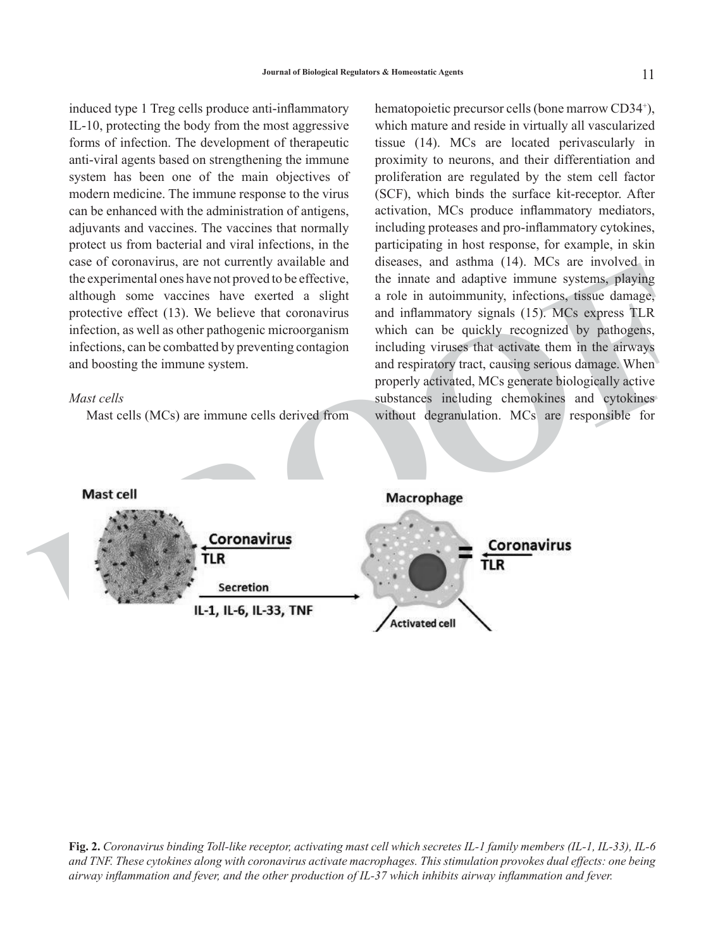induced type 1 Treg cells produce anti-inflammatory IL-10, protecting the body from the most aggressive forms of infection. The development of therapeutic anti-viral agents based on strengthening the immune system has been one of the main objectives of modern medicine. The immune response to the virus can be enhanced with the administration of antigens, adjuvants and vaccines. The vaccines that normally protect us from bacterial and viral infections, in the case of coronavirus, are not currently available and the experimental ones have not proved to be effective, although some vaccines have exerted a slight protective effect (13). We believe that coronavirus infection, as well as other pathogenic microorganism infections, can be combatted by preventing contagion and boosting the immune system.

## *Mast cells*

Mast cells (MCs) are immune cells derived from

the experimental ones have not proved to be directive, the limate and adaptive immune systems. **Playing** a though some vacuum stress have everted a slight a role in automomunity, infections, since day and influence protect hematopoietic precursor cells (bone marrow CD34<sup>+</sup>), which mature and reside in virtually all vascularized tissue (14). MCs are located perivascularly in proximity to neurons, and their differentiation and proliferation are regulated by the stem cell factor (SCF), which binds the surface kit-receptor. After activation, MCs produce inflammatory mediators, including proteases and pro-inflammatory cytokines, participating in host response, for example, in skin diseases, and asthma (14). MCs are involved in the innate and adaptive immune systems, playing a role in autoimmunity, infections, tissue damage, and inflammatory signals (15). MCs express TLR which can be quickly recognized by pathogens, including viruses that activate them in the airways and respiratory tract, causing serious damage. When properly activated, MCs generate biologically active substances including chemokines and cytokines without degranulation. MCs are responsible for

**Fig. 2.** *Coronavirus binding Toll-like receptor, activating mast cell which secretes IL-1 family members (IL-1, IL-33), IL-6 and TNF. These cytokines along with coronavirus activate macrophages. This stimulation provokes dual effects: one being airway inflammation and fever, and the other production of IL-37 which inhibits airway inflammation and fever.*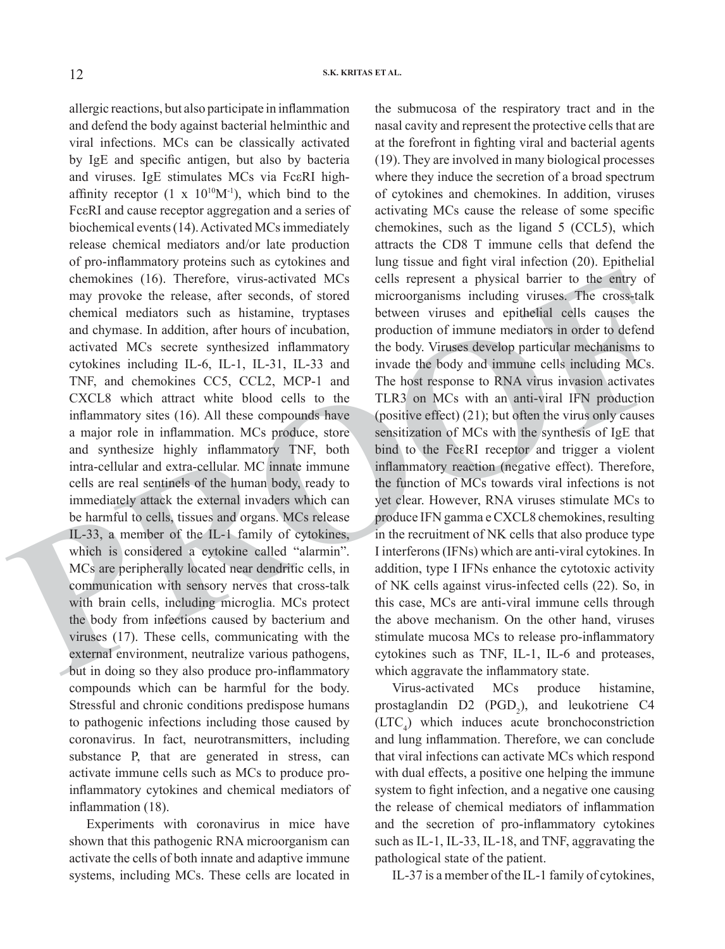chemokines (16). Therefore, virus-activated MCs colls represent a physical barrier to the embry of<br>may provoke the release, after seconds, of stored microcogramism including viruses. The cross-stalk<br>chemical mediators such allergic reactions, but also participate in inflammation and defend the body against bacterial helminthic and viral infections. MCs can be classically activated by IgE and specific antigen, but also by bacteria and viruses. IgE stimulates MCs via FcεRI highaffinity receptor  $(1 \times 10^{10}M^{-1})$ , which bind to the FcεRI and cause receptor aggregation and a series of biochemical events (14). Activated MCs immediately release chemical mediators and/or late production of pro-inflammatory proteins such as cytokines and chemokines (16). Therefore, virus-activated MCs may provoke the release, after seconds, of stored chemical mediators such as histamine, tryptases and chymase. In addition, after hours of incubation, activated MCs secrete synthesized inflammatory cytokines including IL-6, IL-1, IL-31, IL-33 and TNF, and chemokines CC5, CCL2, MCP-1 and CXCL8 which attract white blood cells to the inflammatory sites (16). All these compounds have a major role in inflammation. MCs produce, store and synthesize highly inflammatory TNF, both intra-cellular and extra-cellular. MC innate immune cells are real sentinels of the human body, ready to immediately attack the external invaders which can be harmful to cells, tissues and organs. MCs release IL-33, a member of the IL-1 family of cytokines, which is considered a cytokine called "alarmin". MCs are peripherally located near dendritic cells, in communication with sensory nerves that cross-talk with brain cells, including microglia. MCs protect the body from infections caused by bacterium and viruses (17). These cells, communicating with the external environment, neutralize various pathogens, but in doing so they also produce pro-inflammatory compounds which can be harmful for the body. Stressful and chronic conditions predispose humans to pathogenic infections including those caused by coronavirus. In fact, neurotransmitters, including substance P, that are generated in stress, can activate immune cells such as MCs to produce proinflammatory cytokines and chemical mediators of inflammation (18).

Experiments with coronavirus in mice have shown that this pathogenic RNA microorganism can activate the cells of both innate and adaptive immune systems, including MCs. These cells are located in the submucosa of the respiratory tract and in the nasal cavity and represent the protective cells that are at the forefront in fighting viral and bacterial agents (19). They are involved in many biological processes where they induce the secretion of a broad spectrum of cytokines and chemokines. In addition, viruses activating MCs cause the release of some specific chemokines, such as the ligand 5 (CCL5), which attracts the CD8 T immune cells that defend the lung tissue and fight viral infection (20). Epithelial cells represent a physical barrier to the entry of microorganisms including viruses. The cross-talk between viruses and epithelial cells causes the production of immune mediators in order to defend the body. Viruses develop particular mechanisms to invade the body and immune cells including MCs. The host response to RNA virus invasion activates TLR3 on MCs with an anti-viral IFN production (positive effect) (21); but often the virus only causes sensitization of MCs with the synthesis of IgE that bind to the FceRI receptor and trigger a violent inflammatory reaction (negative effect). Therefore, the function of MCs towards viral infections is not yet clear. However, RNA viruses stimulate MCs to produce IFN gamma e CXCL8 chemokines, resulting in the recruitment of NK cells that also produce type I interferons (IFNs) which are anti-viral cytokines. In addition, type I IFNs enhance the cytotoxic activity of NK cells against virus-infected cells (22). So, in this case, MCs are anti-viral immune cells through the above mechanism. On the other hand, viruses stimulate mucosa MCs to release pro-inflammatory cytokines such as TNF, IL-1, IL-6 and proteases, which aggravate the inflammatory state.

Virus-activated MCs produce histamine, prostaglandin  $D2$  (PGD<sub>2</sub>), and leukotriene C4  $(LTC<sub>4</sub>)$  which induces acute bronchoconstriction and lung inflammation. Therefore, we can conclude that viral infections can activate MCs which respond with dual effects, a positive one helping the immune system to fight infection, and a negative one causing the release of chemical mediators of inflammation and the secretion of pro-inflammatory cytokines such as IL-1, IL-33, IL-18, and TNF, aggravating the pathological state of the patient.

IL-37 is a member of the IL-1 family of cytokines,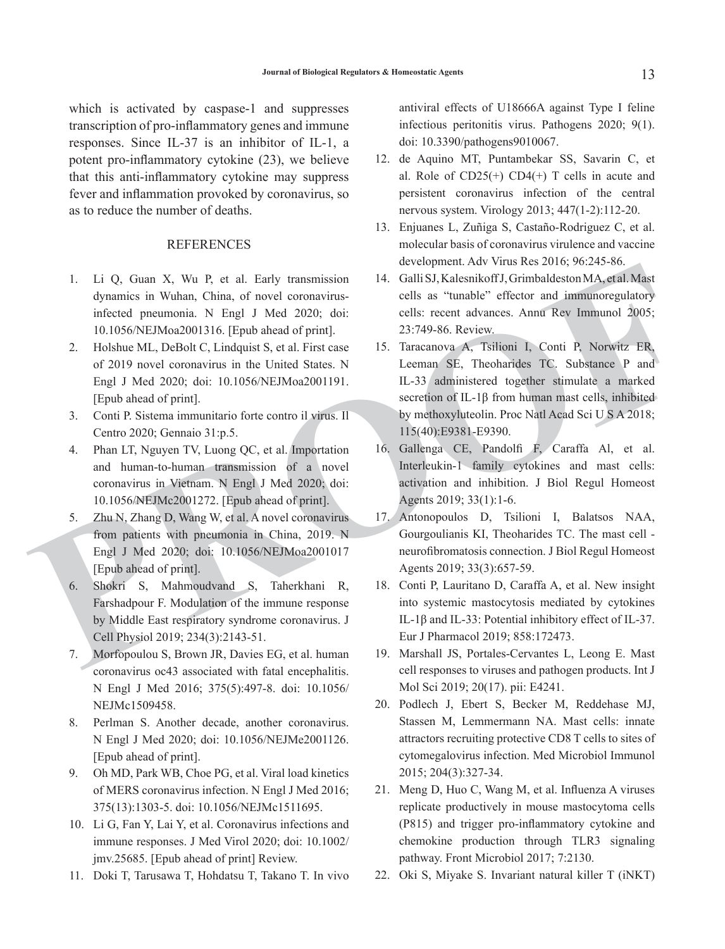which is activated by caspase-1 and suppresses transcription of pro-inflammatory genes and immune responses. Since IL-37 is an inhibitor of IL-1, a potent pro-inflammatory cytokine (23), we believe that this anti-inflammatory cytokine may suppress fever and inflammation provoked by coronavirus, so as to reduce the number of deaths.

# **REFERENCES**

- 1. Li Q, Guan X, Wu P, et al. Early transmission dynamics in Wuhan, China, of novel coronavirusinfected pneumonia. N Engl J Med 2020; doi: 10.1056/NEJMoa2001316. [Epub ahead of print].
- 2. Holshue ML, DeBolt C, Lindquist S, et al. First case of 2019 novel coronavirus in the United States. N Engl J Med 2020; doi: 10.1056/NEJMoa2001191. [Epub ahead of print].
- 3. Conti P. Sistema immunitario forte contro il virus. Il Centro 2020; Gennaio 31:p.5.
- 4. Phan LT, Nguyen TV, Luong QC, et al. Importation and human-to-human transmission of a novel coronavirus in Vietnam. N Engl J Med 2020; doi: 10.1056/NEJMc2001272. [Epub ahead of print].
- 5. Zhu N, Zhang D, Wang W, et al. A novel coronavirus from patients with pneumonia in China, 2019. N Engl J Med 2020; doi: 10.1056/NEJMoa2001017 [Epub ahead of print].
- 6. Shokri S, Mahmoudvand S, Taherkhani R, Farshadpour F. Modulation of the immune response by Middle East respiratory syndrome coronavirus. J Cell Physiol 2019; 234(3):2143-51.
- 7. Morfopoulou S, Brown JR, Davies EG, et al. human coronavirus oc43 associated with fatal encephalitis. N Engl J Med 2016; 375(5):497-8. doi: 10.1056/ NEJMc1509458.
- 8. Perlman S. Another decade, another coronavirus. N Engl J Med 2020; doi: 10.1056/NEJMe2001126. [Epub ahead of print].
- 9. Oh MD, Park WB, Choe PG, et al. Viral load kinetics of MERS coronavirus infection. N Engl J Med 2016; 375(13):1303-5. doi: 10.1056/NEJMc1511695.
- 10. Li G, Fan Y, Lai Y, et al. Coronavirus infections and immune responses. J Med Virol 2020; doi: 10.1002/ jmv.25685. [Epub ahead of print] Review.
- 11. Doki T, Tarusawa T, Hohdatsu T, Takano T. In vivo

antiviral effects of U18666A against Type I feline infectious peritonitis virus. Pathogens 2020; 9(1). doi: 10.3390/pathogens9010067.

- 12. de Aquino MT, Puntambekar SS, Savarin C, et al. Role of  $CD25(+)$   $CD4(+)$  T cells in acute and persistent coronavirus infection of the central nervous system. Virology 2013; 447(1-2):112-20.
- 13. Enjuanes L, Zuñiga S, Castaño-Rodriguez C, et al. molecular basis of coronavirus virulence and vaccine development. Adv Virus Res 2016; 96:245-86.
- 14. Galli SJ, Kalesnikoff J, Grimbaldeston MA, et al. Mast cells as "tunable" effector and immunoregulatory cells: recent advances. Annu Rev Immunol 2005; 23:749-86. Review.
- 1. Li Q, Guan X, Wu P, et al. Early transmission and Galis S), Kalesmich<sup>2</sup>, Giambaleston MA, et al. Anst dynamics in Wuhan, Chinary and Scheme and Scheme inforting production and internaction production and the effects an 15. Taracanova A, Tsilioni I, Conti P, Norwitz ER, Leeman SE, Theoharides TC. Substance P and IL-33 administered together stimulate a marked secretion of IL-1β from human mast cells, inhibited by methoxyluteolin. Proc Natl Acad Sci U S A 2018; 115(40):E9381-E9390.
	- 16. Gallenga CE, Pandolfi F, Caraffa Al, et al. Interleukin-1 family cytokines and mast cells: activation and inhibition. J Biol Regul Homeost Agents 2019; 33(1):1-6.
	- 17. Antonopoulos D, Tsilioni I, Balatsos NAA, Gourgoulianis KI, Theoharides TC. The mast cell neurofibromatosis connection. J Biol Regul Homeost Agents 2019; 33(3):657-59.
	- 18. Conti P, Lauritano D, Caraffa A, et al. New insight into systemic mastocytosis mediated by cytokines IL-1β and IL-33: Potential inhibitory effect of IL-37. Eur J Pharmacol 2019; 858:172473.
	- 19. Marshall JS, Portales-Cervantes L, Leong E. Mast cell responses to viruses and pathogen products. Int J Mol Sci 2019; 20(17). pii: E4241.
	- 20. Podlech J, Ebert S, Becker M, Reddehase MJ, Stassen M, Lemmermann NA. Mast cells: innate attractors recruiting protective CD8 T cells to sites of cytomegalovirus infection. Med Microbiol Immunol 2015; 204(3):327-34.
	- 21. Meng D, Huo C, Wang M, et al. Influenza A viruses replicate productively in mouse mastocytoma cells (P815) and trigger pro-inflammatory cytokine and chemokine production through TLR3 signaling pathway. Front Microbiol 2017; 7:2130.
	- 22. Oki S, Miyake S. Invariant natural killer T (iNKT)